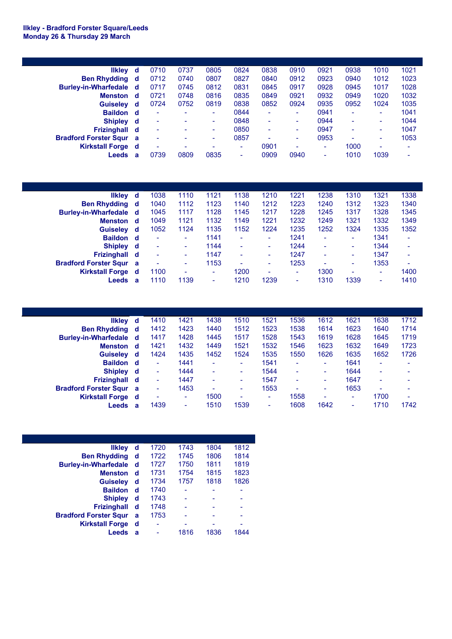## **Ilkley - Bradford Forster Square/Leeds Monday 26 & Thursday 29 March**

| <b>Ilkley</b>                  | - d | 0710 | 0737                     | 0805                     | 0824 | 0838   | 0910                     | 0921 | 0938 | 1010 | 1021                     |
|--------------------------------|-----|------|--------------------------|--------------------------|------|--------|--------------------------|------|------|------|--------------------------|
| <b>Ben Rhydding d</b>          |     | 0712 | 0740                     | 0807                     | 0827 | 0840   | 0912                     | 0923 | 0940 | 1012 | 1023                     |
| Burley-in-Wharfedale d         |     | 0717 | 0745                     | 0812                     | 0831 | 0845   | 0917                     | 0928 | 0945 | 1017 | 1028                     |
| <b>Menston</b>                 | d   | 0721 | 0748                     | 0816                     | 0835 | 0849   | 0921                     | 0932 | 0949 | 1020 | 1032                     |
| <b>Guiseley</b>                | d   | 0724 | 0752                     | 0819                     | 0838 | 0852   | 0924                     | 0935 | 0952 | 1024 | 1035                     |
| Baildon d                      |     | ٠    | $\overline{\phantom{a}}$ | ٠                        | 0844 | ٠      | $\sim$                   | 0941 | ۰    | ۰    | 1041                     |
| <b>Shipley</b>                 | ∣ d | ٠    | $\overline{\phantom{a}}$ | $\sim$                   | 0848 | $\sim$ | $\sim$                   | 0944 | ۰    | ۰    | 1044                     |
| Frizinghall d                  |     | ٠    |                          | $\sim$                   | 0850 | $\sim$ | $\sim$                   | 0947 | ۰    | ۰    | 1047                     |
| <b>Bradford Forster Squr</b> a |     | ٠    |                          | ۰                        | 0857 | ۰      | $\sim$                   | 0953 | ۰    | ۰    | 1053                     |
| <b>Kirkstall Forge</b> d       |     | ۰    |                          | $\overline{\phantom{0}}$ | ۰    | 0901   | $\overline{\phantom{a}}$ | ۰    | 1000 | ۰    | $\overline{\phantom{0}}$ |
| Leeds                          | a   | 0739 | 0809                     | 0835                     | ۰    | 0909   | 0940                     | ۰    | 1010 | 1039 | $\overline{\phantom{0}}$ |
|                                |     |      |                          |                          |      |        |                          |      |      |      |                          |

| <b>Ilkley</b>                | ∣ d      | 1038                     | 1110   | 1121 | 1138                     | 1210 | 1221 | 1238                     | 1310                     | 1321 | 1338                     |
|------------------------------|----------|--------------------------|--------|------|--------------------------|------|------|--------------------------|--------------------------|------|--------------------------|
| <b>Ben Rhydding</b>          | ∣d       | 1040                     | 1112   | 1123 | 1140                     | 1212 | 1223 | 1240                     | 1312                     | 1323 | 1340                     |
| <b>Burley-in-Wharfedale</b>  | ∣ d      | 1045                     | 1117   | 1128 | 1145                     | 1217 | 1228 | 1245                     | 1317                     | 1328 | 1345                     |
| <b>Menston</b>               | ∣d.      | 1049                     | 1121   | 1132 | 1149                     | 1221 | 1232 | 1249                     | 1321                     | 1332 | 1349                     |
| <b>Guiseley</b>              | ₫        | 1052                     | 1124   | 1135 | 1152                     | 1224 | 1235 | 1252                     | 1324                     | 1335 | 1352                     |
| <b>Baildon</b>               | ∣ d      |                          | ٠      | 1141 | $\overline{\phantom{0}}$ | ٠    | 1241 | $\overline{\phantom{a}}$ | $\overline{\phantom{0}}$ | 1341 |                          |
| <b>Shipley</b>               | ∣d       | $\overline{\phantom{0}}$ | $\sim$ | 1144 | $\overline{\phantom{a}}$ | ۰    | 1244 | $\overline{\phantom{0}}$ | ۰                        | 1344 |                          |
| Frizinghall d                |          | $\overline{\phantom{a}}$ | ۰      | 1147 | $\overline{\phantom{a}}$ | ۰    | 1247 | $\overline{\phantom{a}}$ | $\overline{\phantom{0}}$ | 1347 |                          |
| <b>Bradford Forster Squr</b> | <b>a</b> | ۰                        | ٠      | 1153 | $\overline{\phantom{0}}$ | ۰    | 1253 | $\overline{\phantom{a}}$ | ۰                        | 1353 | $\overline{\phantom{0}}$ |
| <b>Kirkstall Forge</b>       | ∣ d      | 1100                     | ۰      | ٠    | 1200                     | ۰    | ۰    | 1300                     | $\overline{\phantom{0}}$ | ٠    | 1400                     |
| Leeds                        | a        | 1110                     | 1139   | -    | 1210                     | 1239 | ۰    | 1310                     | 1339                     | ۰    | 1410                     |

|   | 1410                                                                                                                                                                                      | 1421 | 1438                     | 1510                     | 1521                     | 1536                     | 1612                     | 1621                     | 1638                     | 1712                     |
|---|-------------------------------------------------------------------------------------------------------------------------------------------------------------------------------------------|------|--------------------------|--------------------------|--------------------------|--------------------------|--------------------------|--------------------------|--------------------------|--------------------------|
|   | 1412                                                                                                                                                                                      | 1423 | 1440                     | 1512                     | 1523                     | 1538                     | 1614                     | 1623                     | 1640                     | 1714                     |
|   | 1417                                                                                                                                                                                      | 1428 | 1445                     | 1517                     | 1528                     | 1543                     | 1619                     | 1628                     | 1645                     | 1719                     |
|   | 1421                                                                                                                                                                                      | 1432 | 1449                     | 1521                     | 1532                     | 1546                     | 1623                     | 1632                     | 1649                     | 1723                     |
|   | 1424                                                                                                                                                                                      | 1435 | 1452                     | 1524                     | 1535                     | 1550                     | 1626                     | 1635                     | 1652                     | 1726                     |
|   | $\overline{\phantom{0}}$                                                                                                                                                                  | 1441 | $\overline{\phantom{0}}$ | ۰                        | 1541                     | ۰                        | ۰                        | 1641                     | $\overline{\phantom{0}}$ |                          |
|   | $\overline{\phantom{a}}$                                                                                                                                                                  | 1444 | $\overline{\phantom{a}}$ | ۰                        | 1544                     | ٠                        | ۰                        | 1644                     | $\overline{\phantom{0}}$ | $\overline{\phantom{0}}$ |
|   | ٠                                                                                                                                                                                         | 1447 | ٠                        | ٠                        | 1547                     | ٠                        | ۰                        | 1647                     | ۰                        | $\overline{\phantom{0}}$ |
|   | ٠                                                                                                                                                                                         | 1453 | $\overline{\phantom{0}}$ | ۰                        | 1553                     | $\overline{\phantom{a}}$ | $\overline{\phantom{0}}$ | 1653                     | $\overline{\phantom{0}}$ |                          |
|   | ۰                                                                                                                                                                                         | ۰    | 1500                     | $\overline{\phantom{a}}$ | $\overline{\phantom{a}}$ | 1558                     | $\overline{\phantom{0}}$ | ۰                        | 1700                     | $\overline{\phantom{0}}$ |
| a | 1439                                                                                                                                                                                      | ۰    | 1510                     | 1539                     | ۰                        | 1608                     | 1642                     | $\overline{\phantom{0}}$ | 1710                     | 1742                     |
|   | likley d<br><b>Ben Rhydding d</b><br>Burley-in-Wharfedale d<br>∣ d<br>Guiseley d<br>Baildon d<br>Shipley d<br>Frizinghall d<br><b>Bradford Forster Squr a</b><br><b>Kirkstall Forge</b> d |      |                          |                          |                          |                          |                          |                          |                          |                          |

| <b>Ilkley</b>                | d | 1720                     | 1743 | 1804                     | 1812 |
|------------------------------|---|--------------------------|------|--------------------------|------|
| <b>Ben Rhydding</b>          | d | 1722                     | 1745 | 1806                     | 1814 |
| <b>Burley-in-Wharfedale</b>  | d | 1727                     | 1750 | 1811                     | 1819 |
| <b>Menston</b>               | d | 1731                     | 1754 | 1815                     | 1823 |
| <b>Guiseley</b>              | d | 1734                     | 1757 | 1818                     | 1826 |
| <b>Baildon</b>               | d | 1740                     |      |                          |      |
| <b>Shipley</b>               | d | 1743                     |      | ۰                        | ۰    |
| <b>Frizinghall</b>           | d | 1748                     |      | $\overline{\phantom{0}}$ | ۰    |
| <b>Bradford Forster Squr</b> | a | 1753                     |      |                          | ۰    |
| <b>Kirkstall Forge</b>       | d | $\overline{\phantom{0}}$ |      |                          | ۰    |
| Leeds                        | a |                          | 1816 | 1836                     | 1844 |
|                              |   |                          |      |                          |      |